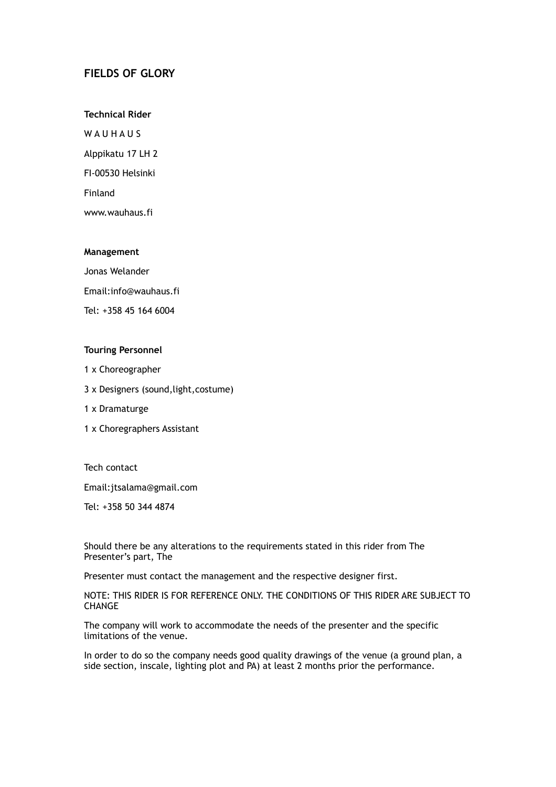# **FIELDS OF GLORY**

**Technical Rider**

W A U H A U S Alppikatu 17 LH 2 FI-00530 Helsinki Finland www.wauhaus.fi

### **Management**

Jonas Welander

Email:info@wauhaus.fi

Tel: +358 45 164 6004

## **Touring Personnel**

- 1 x Choreographer
- 3 x Designers (sound,light,costume)
- 1 x Dramaturge
- 1 x Choregraphers Assistant

Tech contact

Email:jtsalama@gmail.com

Tel: +358 50 344 4874

Should there be any alterations to the requirements stated in this rider from The Presenter's part, The

Presenter must contact the management and the respective designer first.

NOTE: THIS RIDER IS FOR REFERENCE ONLY. THE CONDITIONS OF THIS RIDER ARE SUBJECT TO **CHANGE** 

The company will work to accommodate the needs of the presenter and the specific limitations of the venue.

In order to do so the company needs good quality drawings of the venue (a ground plan, a side section, inscale, lighting plot and PA) at least 2 months prior the performance.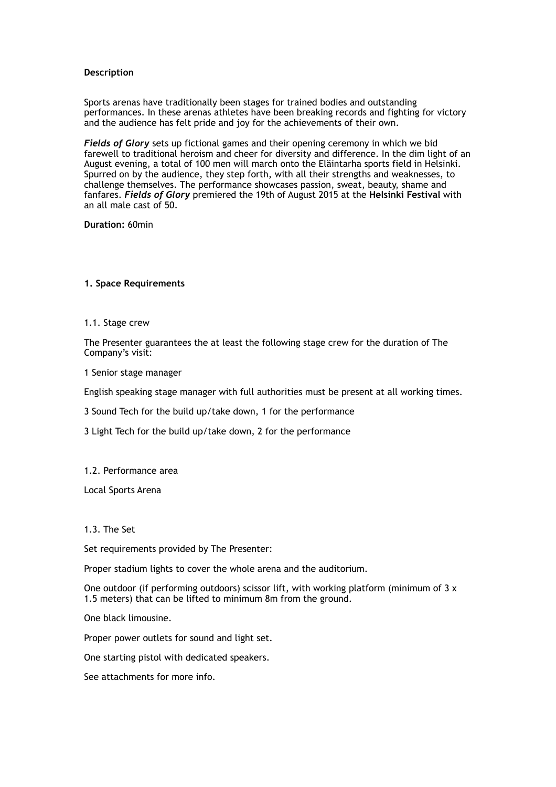### **Description**

Sports arenas have traditionally been stages for trained bodies and outstanding performances. In these arenas athletes have been breaking records and fighting for victory and the audience has felt pride and joy for the achievements of their own.

*Fields of Glory* sets up fictional games and their opening ceremony in which we bid farewell to traditional heroism and cheer for diversity and difference. In the dim light of an August evening, a total of 100 men will march onto the Eläintarha sports field in Helsinki. Spurred on by the audience, they step forth, with all their strengths and weaknesses, to challenge themselves. The performance showcases passion, sweat, beauty, shame and fanfares. *Fields of Glory* premiered the 19th of August 2015 at the **Helsinki Festival** with an all male cast of 50.

**Duration:** 60min

#### **1. Space Requirements**

1.1. Stage crew

The Presenter guarantees the at least the following stage crew for the duration of The Company's visit:

1 Senior stage manager

English speaking stage manager with full authorities must be present at all working times.

3 Sound Tech for the build up/take down, 1 for the performance

3 Light Tech for the build up/take down, 2 for the performance

#### 1.2. Performance area

Local Sports Arena

1.3. The Set

Set requirements provided by The Presenter:

Proper stadium lights to cover the whole arena and the auditorium.

One outdoor (if performing outdoors) scissor lift, with working platform (minimum of 3 x 1.5 meters) that can be lifted to minimum 8m from the ground.

One black limousine.

Proper power outlets for sound and light set.

One starting pistol with dedicated speakers.

See attachments for more info.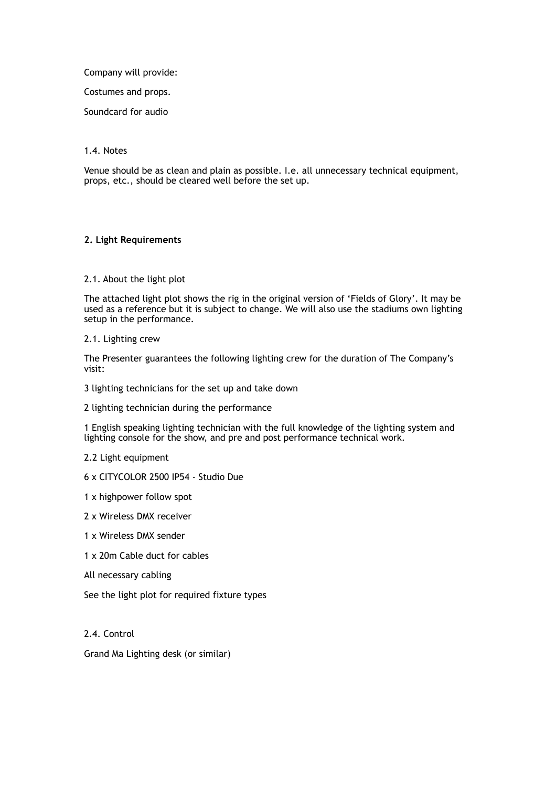Company will provide:

Costumes and props.

Soundcard for audio

### 1.4. Notes

Venue should be as clean and plain as possible. I.e. all unnecessary technical equipment, props, etc., should be cleared well before the set up.

### **2. Light Requirements**

### 2.1. About the light plot

The attached light plot shows the rig in the original version of 'Fields of Glory'. It may be used as a reference but it is subject to change. We will also use the stadiums own lighting setup in the performance.

2.1. Lighting crew

The Presenter guarantees the following lighting crew for the duration of The Company's visit:

- 3 lighting technicians for the set up and take down
- 2 lighting technician during the performance

1 English speaking lighting technician with the full knowledge of the lighting system and lighting console for the show, and pre and post performance technical work.

2.2 Light equipment

- 6 x CITYCOLOR 2500 IP54 Studio Due
- 1 x highpower follow spot
- 2 x Wireless DMX receiver
- 1 x Wireless DMX sender
- 1 x 20m Cable duct for cables
- All necessary cabling

See the light plot for required fixture types

2.4. Control

Grand Ma Lighting desk (or similar)